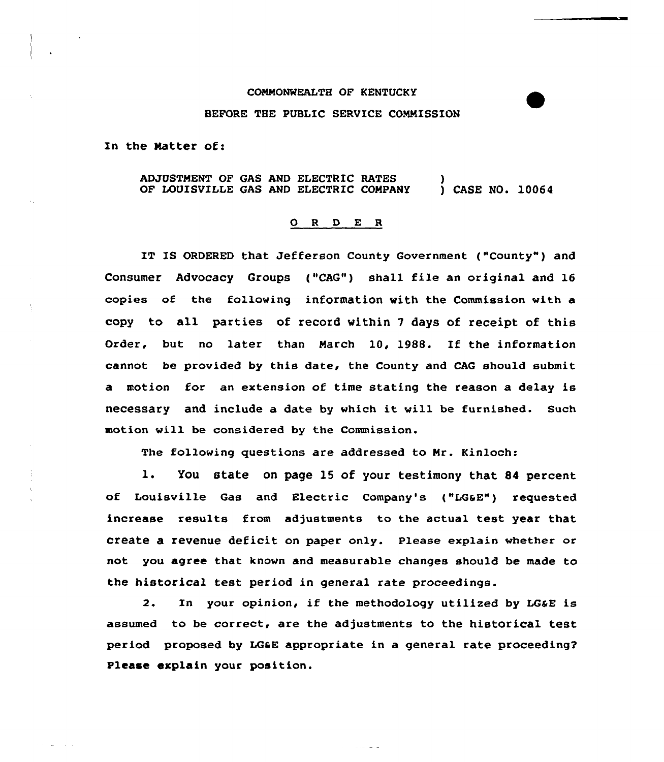## COMMONWEALTH OF KENTUCKY

## BEFORE THE PUBLIC SERVICE COMMISSION

In the Natter of:

ADJUSTMENT OF GAS AND ELECTRIC RATES (and  $\overline{D}$  ) (as and  $\overline{D}$  ) (as and  $\overline{D}$  ) (as and  $\overline{D}$  ) (as and  $\overline{D}$  ) (as and  $\overline{D}$  ) (as and  $\overline{D}$  ) (as and  $\overline{D}$  ) (as and  $\overline{D}$  ) (as and  $\overline{D}$  OF LOUISVILLE GAS AND ELECTRIC COMPANY

## 0 <sup>R</sup> <sup>D</sup> E R

IT IS ORDERED that Jefferson County Government ("County") and Consumer Advocacy Groups ("CAG") shall file an original and 16 copies of the following information with the Commission with a copy to all parties of record within 7 days of receipt of this Order, but no later than March 10, 1988. If the information cannot be provided by this date, the County and CAG should submit a motion for an extension of time stating the reason a delay is necessary and include <sup>a</sup> date by which it will be furnished. such motion will be considered by the Commission.

The following questions are addressed to Mr. Kinloch:

l. You state on page <sup>15</sup> of your testimony that <sup>84</sup> percent of Louisville Gas and Electric Company's ("LGaE") requested increase results from adjustments to the actual test year that create a revenue deficit on paper only. Please explain whether or not you agree that known and measurable changes should be made to the historical test period in general rate proceedings.

2. In your opinion, if the methodology utilized by LG&E is assumed to be correct, are the adjustments to the historical test period proposed by LGaE appropriate in a general rate proceeding? Please explain your position.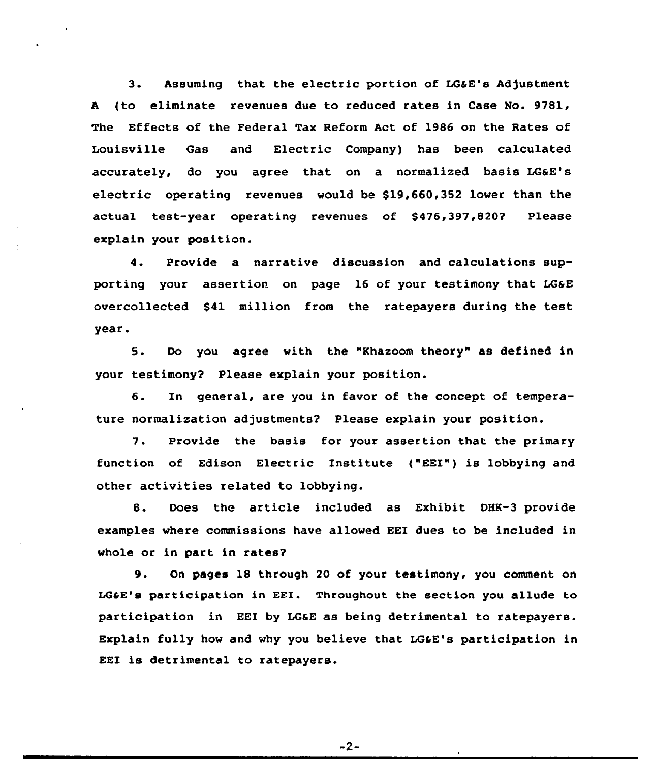3. Assuming that the electric portion of LGaE's Adjustment <sup>A</sup> (to eliminate revenues due to reduced rates in Case No. 9781, The Effects of the Federal Tax Reform Act of 1986 on the Rates of Louisville Gas and Electric Company) has been calculated accurately, do you agree that on a normalized basis LG&E's electric operating revenues would be \$19,660,352 lower than the actual test-year operating revenues of \$476,397,820? Please explain your position.

4. Provide a narrative discussion and calculations supporting your assertion on page 16 of your testimony that LGSE overcollected \$41 million from the ratepayers during the test year.

5. Do you agree with the "Khazoom theory" as defined in your testimony? Please explain your position.

6. In general, are you in favor of the concept of temperature normalization adjustments? Please explain your position.

7. Provide the basis for your assertion that the primary function of Edison Electric Institute ("EEI") is lobbying and other activities related to lobbying.

8. Does the article included as Exhibit DHK-3 provide examples where commissions have allowed EEI dues to be included in whole or in part in rates?

9. On pages 1& through <sup>20</sup> of your testimony, you comment on LGCE's participation in EEI. Throughout the section you allude to participation in EEI by LG&E as being detrimental to ratepayers. Explain fully how and why you believe that LG&E's participation in EEI is detrimental to ratepayers.

 $-2-$